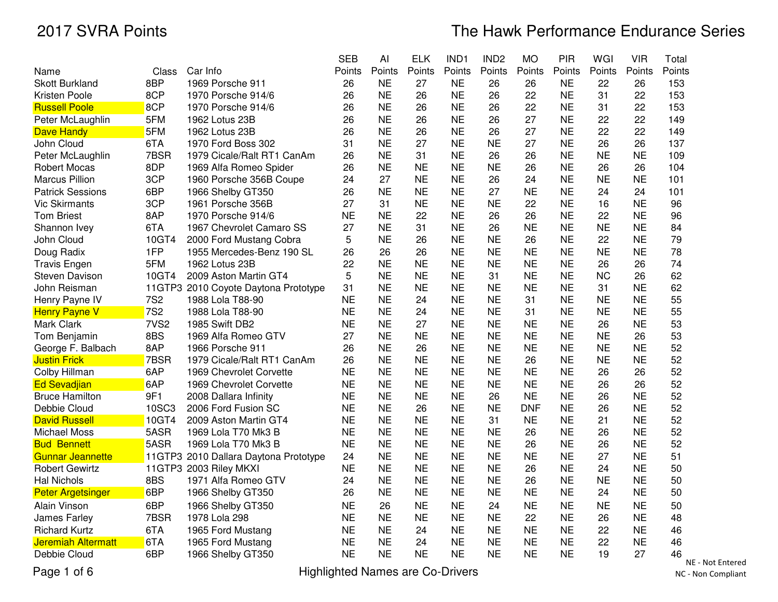# The Hawk Performance Endurance Series

|                                         |                                       | <b>SEB</b> | AI        | <b>ELK</b> | IND1      | IND <sub>2</sub> | <b>MO</b>  | PIR       | WGI       | <b>VIR</b> | Total                |
|-----------------------------------------|---------------------------------------|------------|-----------|------------|-----------|------------------|------------|-----------|-----------|------------|----------------------|
| Name<br>Class                           | Car Info                              | Points     | Points    | Points     | Points    | Points           | Points     | Points    | Points    | Points     | Points               |
| 8BP<br><b>Skott Burkland</b>            | 1969 Porsche 911                      | 26         | <b>NE</b> | 27         | <b>NE</b> | 26               | 26         | <b>NE</b> | 22        | 26         | 153                  |
| 8CP<br>Kristen Poole                    | 1970 Porsche 914/6                    | 26         | <b>NE</b> | 26         | <b>NE</b> | 26               | 22         | <b>NE</b> | 31        | 22         | 153                  |
| 8CP<br><b>Russell Poole</b>             | 1970 Porsche 914/6                    | 26         | <b>NE</b> | 26         | <b>NE</b> | 26               | 22         | <b>NE</b> | 31        | 22         | 153                  |
| 5FM<br>Peter McLaughlin                 | 1962 Lotus 23B                        | 26         | <b>NE</b> | 26         | <b>NE</b> | 26               | 27         | <b>NE</b> | 22        | 22         | 149                  |
| 5FM<br>Dave Handy                       | 1962 Lotus 23B                        | 26         | <b>NE</b> | 26         | <b>NE</b> | 26               | 27         | <b>NE</b> | 22        | 22         | 149                  |
| 6TA<br>John Cloud                       | 1970 Ford Boss 302                    | 31         | <b>NE</b> | 27         | <b>NE</b> | <b>NE</b>        | 27         | <b>NE</b> | 26        | 26         | 137                  |
| 7BSR<br>Peter McLaughlin                | 1979 Cicale/Ralt RT1 CanAm            | 26         | <b>NE</b> | 31         | <b>NE</b> | 26               | 26         | <b>NE</b> | <b>NE</b> | <b>NE</b>  | 109                  |
| 8DP<br>Robert Mocas                     | 1969 Alfa Romeo Spider                | 26         | <b>NE</b> | <b>NE</b>  | <b>NE</b> | <b>NE</b>        | 26         | <b>NE</b> | 26        | 26         | 104                  |
| 3CP<br><b>Marcus Pillion</b>            | 1960 Porsche 356B Coupe               | 24         | 27        | <b>NE</b>  | <b>NE</b> | 26               | 24         | <b>NE</b> | <b>NE</b> | <b>NE</b>  | 101                  |
| <b>Patrick Sessions</b><br>6BP          | 1966 Shelby GT350                     | 26         | <b>NE</b> | <b>NE</b>  | <b>NE</b> | 27               | <b>NE</b>  | <b>NE</b> | 24        | 24         | 101                  |
| 3CP<br><b>Vic Skirmants</b>             | 1961 Porsche 356B                     | 27         | 31        | <b>NE</b>  | <b>NE</b> | <b>NE</b>        | 22         | <b>NE</b> | 16        | <b>NE</b>  | 96                   |
| <b>Tom Briest</b><br>8AP                | 1970 Porsche 914/6                    | <b>NE</b>  | <b>NE</b> | 22         | <b>NE</b> | 26               | 26         | <b>NE</b> | 22        | <b>NE</b>  | 96                   |
| 6TA<br>Shannon Ivey                     | 1967 Chevrolet Camaro SS              | 27         | <b>NE</b> | 31         | <b>NE</b> | 26               | <b>NE</b>  | <b>NE</b> | <b>NE</b> | <b>NE</b>  | 84                   |
| John Cloud<br>10GT4                     | 2000 Ford Mustang Cobra               | 5          | <b>NE</b> | 26         | <b>NE</b> | <b>NE</b>        | 26         | <b>NE</b> | 22        | <b>NE</b>  | 79                   |
| 1FP<br>Doug Radix                       | 1955 Mercedes-Benz 190 SL             | 26         | 26        | 26         | <b>NE</b> | <b>NE</b>        | <b>NE</b>  | <b>NE</b> | <b>NE</b> | <b>NE</b>  | 78                   |
| 5FM<br><b>Travis Engen</b>              | 1962 Lotus 23B                        | 22         | <b>NE</b> | <b>NE</b>  | <b>NE</b> | <b>NE</b>        | <b>NE</b>  | <b>NE</b> | 26        | 26         | 74                   |
| 10GT4<br>Steven Davison                 | 2009 Aston Martin GT4                 | 5          | <b>NE</b> | <b>NE</b>  | <b>NE</b> | 31               | <b>NE</b>  | <b>NE</b> | <b>NC</b> | 26         | 62                   |
| John Reisman                            | 11GTP3 2010 Coyote Daytona Prototype  | 31         | <b>NE</b> | <b>NE</b>  | <b>NE</b> | <b>NE</b>        | <b>NE</b>  | <b>NE</b> | 31        | <b>NE</b>  | 62                   |
| <b>7S2</b><br>Henry Payne IV            | 1988 Lola T88-90                      | <b>NE</b>  | <b>NE</b> | 24         | <b>NE</b> | <b>NE</b>        | 31         | <b>NE</b> | <b>NE</b> | <b>NE</b>  | 55                   |
| 7S <sub>2</sub><br><b>Henry Payne V</b> | 1988 Lola T88-90                      | <b>NE</b>  | <b>NE</b> | 24         | <b>NE</b> | <b>NE</b>        | 31         | <b>NE</b> | <b>NE</b> | <b>NE</b>  | 55                   |
| 7VS <sub>2</sub><br>Mark Clark          | 1985 Swift DB2                        | <b>NE</b>  | <b>NE</b> | 27         | <b>NE</b> | <b>NE</b>        | <b>NE</b>  | <b>NE</b> | 26        | <b>NE</b>  | 53                   |
| 8BS<br>Tom Benjamin                     | 1969 Alfa Romeo GTV                   | 27         | <b>NE</b> | <b>NE</b>  | <b>NE</b> | <b>NE</b>        | <b>NE</b>  | <b>NE</b> | <b>NE</b> | 26         | 53                   |
| 8AP<br>George F. Balbach                | 1966 Porsche 911                      | 26         | <b>NE</b> | 26         | <b>NE</b> | <b>NE</b>        | <b>NE</b>  | <b>NE</b> | <b>NE</b> | <b>NE</b>  | 52                   |
| 7BSR<br><b>Justin Frick</b>             | 1979 Cicale/Ralt RT1 CanAm            | 26         | <b>NE</b> | <b>NE</b>  | <b>NE</b> | <b>NE</b>        | 26         | <b>NE</b> | <b>NE</b> | <b>NE</b>  | 52                   |
| 6AP<br>Colby Hillman                    | 1969 Chevrolet Corvette               | <b>NE</b>  | <b>NE</b> | <b>NE</b>  | <b>NE</b> | <b>NE</b>        | <b>NE</b>  | <b>NE</b> | 26        | 26         | 52                   |
| 6AP<br><b>Ed Sevadjian</b>              | 1969 Chevrolet Corvette               | <b>NE</b>  | <b>NE</b> | <b>NE</b>  | <b>NE</b> | <b>NE</b>        | <b>NE</b>  | <b>NE</b> | 26        | 26         | 52                   |
| 9F1<br><b>Bruce Hamilton</b>            | 2008 Dallara Infinity                 | <b>NE</b>  | <b>NE</b> | <b>NE</b>  | <b>NE</b> | 26               | <b>NE</b>  | <b>NE</b> | 26        | <b>NE</b>  | 52                   |
| 10SC3<br>Debbie Cloud                   | 2006 Ford Fusion SC                   | <b>NE</b>  | <b>NE</b> | 26         | <b>NE</b> | <b>NE</b>        | <b>DNF</b> | <b>NE</b> | 26        | <b>NE</b>  | 52                   |
| 10GT4<br><b>David Russell</b>           | 2009 Aston Martin GT4                 | <b>NE</b>  | <b>NE</b> | <b>NE</b>  | <b>NE</b> | 31               | <b>NE</b>  | <b>NE</b> | 21        | <b>NE</b>  | 52                   |
| 5ASR<br><b>Michael Moss</b>             | 1969 Lola T70 Mk3 B                   | <b>NE</b>  | <b>NE</b> | <b>NE</b>  | <b>NE</b> | <b>NE</b>        | 26         | <b>NE</b> | 26        | <b>NE</b>  | 52                   |
| 5ASR<br><b>Bud Bennett</b>              | 1969 Lola T70 Mk3 B                   | <b>NE</b>  | <b>NE</b> | <b>NE</b>  | <b>NE</b> | <b>NE</b>        | 26         | <b>NE</b> | 26        | <b>NE</b>  | 52                   |
| <b>Gunnar Jeannette</b>                 | 11GTP3 2010 Dallara Daytona Prototype | 24         | <b>NE</b> | <b>NE</b>  | <b>NE</b> | <b>NE</b>        | <b>NE</b>  | <b>NE</b> | 27        | <b>NE</b>  | 51                   |
| <b>Robert Gewirtz</b>                   | 11GTP3 2003 Riley MKXI                | <b>NE</b>  | <b>NE</b> | <b>NE</b>  | <b>NE</b> | <b>NE</b>        | 26         | <b>NE</b> | 24        | <b>NE</b>  | 50                   |
| 8BS<br><b>Hal Nichols</b>               | 1971 Alfa Romeo GTV                   | 24         | <b>NE</b> | <b>NE</b>  | <b>NE</b> | <b>NE</b>        | 26         | <b>NE</b> | <b>NE</b> | <b>NE</b>  | 50                   |
| 6BP<br><b>Peter Argetsinger</b>         | 1966 Shelby GT350                     | 26         | <b>NE</b> | <b>NE</b>  | <b>NE</b> | <b>NE</b>        | <b>NE</b>  | <b>NE</b> | 24        | <b>NE</b>  | 50                   |
| Alain Vinson<br>6BP                     | 1966 Shelby GT350                     | <b>NE</b>  | 26        | <b>NE</b>  | <b>NE</b> | 24               | <b>NE</b>  | <b>NE</b> | <b>NE</b> | <b>NE</b>  | 50                   |
| 7BSR<br>James Farley                    | 1978 Lola 298                         | <b>NE</b>  | <b>NE</b> | <b>NE</b>  | <b>NE</b> | <b>NE</b>        | 22         | <b>NE</b> | 26        | <b>NE</b>  | 48                   |
| 6TA<br><b>Richard Kurtz</b>             | 1965 Ford Mustang                     | <b>NE</b>  | <b>NE</b> | 24         | <b>NE</b> | <b>NE</b>        | <b>NE</b>  | <b>NE</b> | 22        | <b>NE</b>  | 46                   |
| <b>Jeremiah Altermatt</b><br>6TA        | 1965 Ford Mustang                     | <b>NE</b>  | <b>NE</b> | 24         | <b>NE</b> | <b>NE</b>        | <b>NE</b>  | <b>NE</b> | 22        | <b>NE</b>  | 46                   |
| Debbie Cloud<br>6BP                     | 1966 Shelby GT350                     | <b>NE</b>  | <b>NE</b> | NE         | <b>NE</b> | <b>NE</b>        | <b>NE</b>  | <b>NE</b> | 19        | 27         | 46<br>$\overline{M}$ |

Page 1 of 6

Highlighted Names are Co-Drivers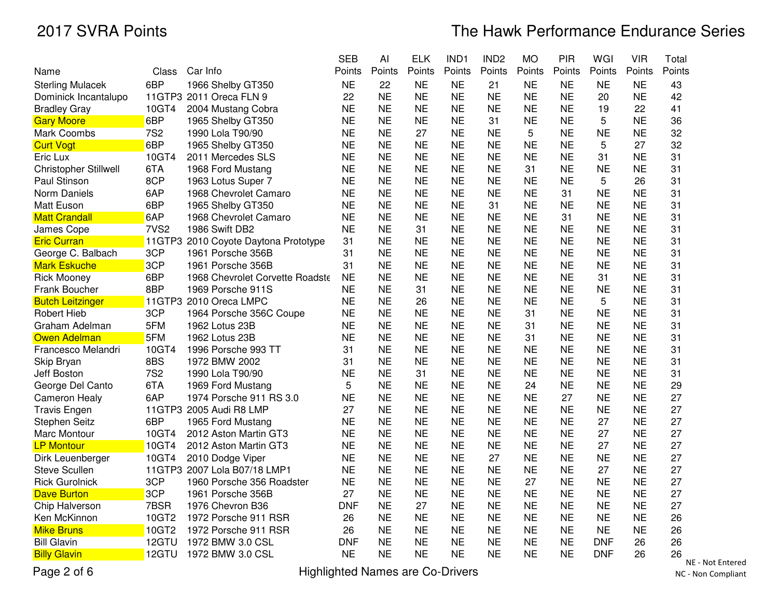|                         |                  |                                      | <b>SEB</b> | Al        | <b>ELK</b> | IND1      | IND <sub>2</sub> | <b>MO</b> | PIR       | WGI        | <b>VIR</b> | Total  |
|-------------------------|------------------|--------------------------------------|------------|-----------|------------|-----------|------------------|-----------|-----------|------------|------------|--------|
| Name                    | Class            | Car Info                             | Points     | Points    | Points     | Points    | Points           | Points    | Points    | Points     | Points     | Points |
| <b>Sterling Mulacek</b> | 6BP              | 1966 Shelby GT350                    | <b>NE</b>  | 22        | <b>NE</b>  | <b>NE</b> | 21               | <b>NE</b> | <b>NE</b> | <b>NE</b>  | <b>NE</b>  | 43     |
| Dominick Incantalupo    |                  | 11GTP3 2011 Oreca FLN 9              | 22         | <b>NE</b> | <b>NE</b>  | <b>NE</b> | <b>NE</b>        | <b>NE</b> | <b>NE</b> | 20         | <b>NE</b>  | 42     |
| <b>Bradley Gray</b>     | 10GT4            | 2004 Mustang Cobra                   | <b>NE</b>  | <b>NE</b> | <b>NE</b>  | <b>NE</b> | <b>NE</b>        | <b>NE</b> | <b>NE</b> | 19         | 22         | 41     |
| <b>Gary Moore</b>       | 6BP              | 1965 Shelby GT350                    | <b>NE</b>  | <b>NE</b> | <b>NE</b>  | <b>NE</b> | 31               | <b>NE</b> | <b>NE</b> | 5          | <b>NE</b>  | 36     |
| Mark Coombs             | <b>7S2</b>       | 1990 Lola T90/90                     | <b>NE</b>  | <b>NE</b> | 27         | <b>NE</b> | <b>NE</b>        | 5         | <b>NE</b> | <b>NE</b>  | <b>NE</b>  | 32     |
| <b>Curt Vogt</b>        | 6BP              | 1965 Shelby GT350                    | <b>NE</b>  | <b>NE</b> | <b>NE</b>  | <b>NE</b> | <b>NE</b>        | <b>NE</b> | <b>NE</b> | 5          | 27         | 32     |
| Eric Lux                | 10GT4            | 2011 Mercedes SLS                    | <b>NE</b>  | <b>NE</b> | <b>NE</b>  | <b>NE</b> | <b>NE</b>        | <b>NE</b> | <b>NE</b> | 31         | <b>NE</b>  | 31     |
| Christopher Stillwell   | 6TA              | 1968 Ford Mustang                    | <b>NE</b>  | <b>NE</b> | <b>NE</b>  | <b>NE</b> | <b>NE</b>        | 31        | <b>NE</b> | <b>NE</b>  | <b>NE</b>  | 31     |
| Paul Stinson            | 8CP              | 1963 Lotus Super 7                   | <b>NE</b>  | <b>NE</b> | <b>NE</b>  | <b>NE</b> | <b>NE</b>        | <b>NE</b> | <b>NE</b> | 5          | 26         | 31     |
| Norm Daniels            | 6AP              | 1968 Chevrolet Camaro                | <b>NE</b>  | <b>NE</b> | <b>NE</b>  | <b>NE</b> | <b>NE</b>        | <b>NE</b> | 31        | <b>NE</b>  | <b>NE</b>  | 31     |
| Matt Euson              | 6BP              | 1965 Shelby GT350                    | <b>NE</b>  | <b>NE</b> | <b>NE</b>  | <b>NE</b> | 31               | <b>NE</b> | <b>NE</b> | <b>NE</b>  | <b>NE</b>  | 31     |
| <b>Matt Crandall</b>    | 6AP              | 1968 Chevrolet Camaro                | <b>NE</b>  | <b>NE</b> | <b>NE</b>  | <b>NE</b> | <b>NE</b>        | <b>NE</b> | 31        | <b>NE</b>  | <b>NE</b>  | 31     |
| James Cope              | 7VS <sub>2</sub> | 1986 Swift DB2                       | <b>NE</b>  | <b>NE</b> | 31         | <b>NE</b> | <b>NE</b>        | <b>NE</b> | <b>NE</b> | <b>NE</b>  | <b>NE</b>  | 31     |
| <b>Eric Curran</b>      |                  | 11GTP3 2010 Coyote Daytona Prototype | 31         | <b>NE</b> | <b>NE</b>  | <b>NE</b> | <b>NE</b>        | <b>NE</b> | <b>NE</b> | <b>NE</b>  | <b>NE</b>  | 31     |
| George C. Balbach       | 3CP              | 1961 Porsche 356B                    | 31         | <b>NE</b> | <b>NE</b>  | <b>NE</b> | <b>NE</b>        | <b>NE</b> | <b>NE</b> | <b>NE</b>  | <b>NE</b>  | 31     |
| <b>Mark Eskuche</b>     | 3CP              | 1961 Porsche 356B                    | 31         | <b>NE</b> | <b>NE</b>  | <b>NE</b> | <b>NE</b>        | <b>NE</b> | <b>NE</b> | <b>NE</b>  | <b>NE</b>  | 31     |
| <b>Rick Mooney</b>      | 6BP              | 1968 Chevrolet Corvette Roadste      | <b>NE</b>  | <b>NE</b> | <b>NE</b>  | <b>NE</b> | <b>NE</b>        | <b>NE</b> | <b>NE</b> | 31         | <b>NE</b>  | 31     |
| Frank Boucher           | 8BP              | 1969 Porsche 911S                    | <b>NE</b>  | <b>NE</b> | 31         | <b>NE</b> | <b>NE</b>        | <b>NE</b> | <b>NE</b> | <b>NE</b>  | <b>NE</b>  | 31     |
| <b>Butch Leitzinger</b> |                  | 11GTP3 2010 Oreca LMPC               | <b>NE</b>  | <b>NE</b> | 26         | <b>NE</b> | <b>NE</b>        | <b>NE</b> | <b>NE</b> | 5          | <b>NE</b>  | 31     |
| <b>Robert Hieb</b>      | 3CP              | 1964 Porsche 356C Coupe              | <b>NE</b>  | <b>NE</b> | <b>NE</b>  | <b>NE</b> | <b>NE</b>        | 31        | <b>NE</b> | <b>NE</b>  | <b>NE</b>  | 31     |
| Graham Adelman          | 5FM              | 1962 Lotus 23B                       | <b>NE</b>  | <b>NE</b> | <b>NE</b>  | <b>NE</b> | <b>NE</b>        | 31        | <b>NE</b> | <b>NE</b>  | <b>NE</b>  | 31     |
| Owen Adelman            | 5FM              | 1962 Lotus 23B                       | <b>NE</b>  | <b>NE</b> | <b>NE</b>  | <b>NE</b> | <b>NE</b>        | 31        | <b>NE</b> | <b>NE</b>  | <b>NE</b>  | 31     |
| Francesco Melandri      | 10GT4            | 1996 Porsche 993 TT                  | 31         | <b>NE</b> | <b>NE</b>  | <b>NE</b> | <b>NE</b>        | <b>NE</b> | <b>NE</b> | <b>NE</b>  | <b>NE</b>  | 31     |
| Skip Bryan              | 8BS              | 1972 BMW 2002                        | 31         | <b>NE</b> | <b>NE</b>  | <b>NE</b> | <b>NE</b>        | <b>NE</b> | <b>NE</b> | <b>NE</b>  | <b>NE</b>  | 31     |
| Jeff Boston             | <b>7S2</b>       | 1990 Lola T90/90                     | <b>NE</b>  | <b>NE</b> | 31         | <b>NE</b> | <b>NE</b>        | <b>NE</b> | <b>NE</b> | <b>NE</b>  | <b>NE</b>  | 31     |
| George Del Canto        | 6TA              | 1969 Ford Mustang                    | 5          | <b>NE</b> | <b>NE</b>  | <b>NE</b> | <b>NE</b>        | 24        | <b>NE</b> | <b>NE</b>  | <b>NE</b>  | 29     |
| <b>Cameron Healy</b>    | 6AP              | 1974 Porsche 911 RS 3.0              | <b>NE</b>  | <b>NE</b> | <b>NE</b>  | <b>NE</b> | <b>NE</b>        | <b>NE</b> | 27        | <b>NE</b>  | <b>NE</b>  | 27     |
| <b>Travis Engen</b>     |                  | 11GTP3 2005 Audi R8 LMP              | 27         | <b>NE</b> | <b>NE</b>  | <b>NE</b> | <b>NE</b>        | <b>NE</b> | <b>NE</b> | <b>NE</b>  | <b>NE</b>  | 27     |
| <b>Stephen Seitz</b>    | 6BP              | 1965 Ford Mustang                    | <b>NE</b>  | <b>NE</b> | <b>NE</b>  | <b>NE</b> | <b>NE</b>        | <b>NE</b> | <b>NE</b> | 27         | <b>NE</b>  | 27     |
| Marc Montour            | 10GT4            | 2012 Aston Martin GT3                | <b>NE</b>  | <b>NE</b> | <b>NE</b>  | <b>NE</b> | <b>NE</b>        | <b>NE</b> | <b>NE</b> | 27         | <b>NE</b>  | 27     |
| <b>LP Montour</b>       | 10GT4            | 2012 Aston Martin GT3                | <b>NE</b>  | <b>NE</b> | <b>NE</b>  | <b>NE</b> | <b>NE</b>        | <b>NE</b> | <b>NE</b> | 27         | <b>NE</b>  | 27     |
| Dirk Leuenberger        | 10GT4            | 2010 Dodge Viper                     | <b>NE</b>  | <b>NE</b> | <b>NE</b>  | <b>NE</b> | 27               | <b>NE</b> | <b>NE</b> | <b>NE</b>  | <b>NE</b>  | 27     |
| <b>Steve Scullen</b>    |                  | 11GTP3 2007 Lola B07/18 LMP1         | <b>NE</b>  | <b>NE</b> | <b>NE</b>  | <b>NE</b> | <b>NE</b>        | <b>NE</b> | <b>NE</b> | 27         | <b>NE</b>  | 27     |
| <b>Rick Gurolnick</b>   | 3CP              | 1960 Porsche 356 Roadster            | <b>NE</b>  | <b>NE</b> | <b>NE</b>  | <b>NE</b> | <b>NE</b>        | 27        | <b>NE</b> | <b>NE</b>  | <b>NE</b>  | 27     |
| <b>Dave Burton</b>      | 3CP              | 1961 Porsche 356B                    | 27         | <b>NE</b> | <b>NE</b>  | <b>NE</b> | <b>NE</b>        | <b>NE</b> | <b>NE</b> | <b>NE</b>  | <b>NE</b>  | 27     |
| Chip Halverson          | 7BSR             | 1976 Chevron B36                     | <b>DNF</b> | <b>NE</b> | 27         | <b>NE</b> | <b>NE</b>        | <b>NE</b> | <b>NE</b> | <b>NE</b>  | <b>NE</b>  | 27     |
| Ken McKinnon            | 10GT2            | 1972 Porsche 911 RSR                 | 26         | <b>NE</b> | <b>NE</b>  | <b>NE</b> | <b>NE</b>        | <b>NE</b> | <b>NE</b> | <b>NE</b>  | <b>NE</b>  | 26     |
| <b>Mike Bruns</b>       | 10GT2            | 1972 Porsche 911 RSR                 | 26         | <b>NE</b> | <b>NE</b>  | <b>NE</b> | <b>NE</b>        | <b>NE</b> | <b>NE</b> | <b>NE</b>  | <b>NE</b>  | 26     |
| <b>Bill Glavin</b>      | 12GTU            | 1972 BMW 3.0 CSL                     | <b>DNF</b> | <b>NE</b> | <b>NE</b>  | <b>NE</b> | <b>NE</b>        | <b>NE</b> | <b>NE</b> | <b>DNF</b> | 26         | 26     |
| <b>Billy Glavin</b>     | 12GTU            | 1972 BMW 3.0 CSL                     | <b>NE</b>  | <b>NE</b> | <b>NE</b>  | <b>NE</b> | <b>NE</b>        | <b>NE</b> | <b>NE</b> | <b>DNF</b> | 26         | 26     |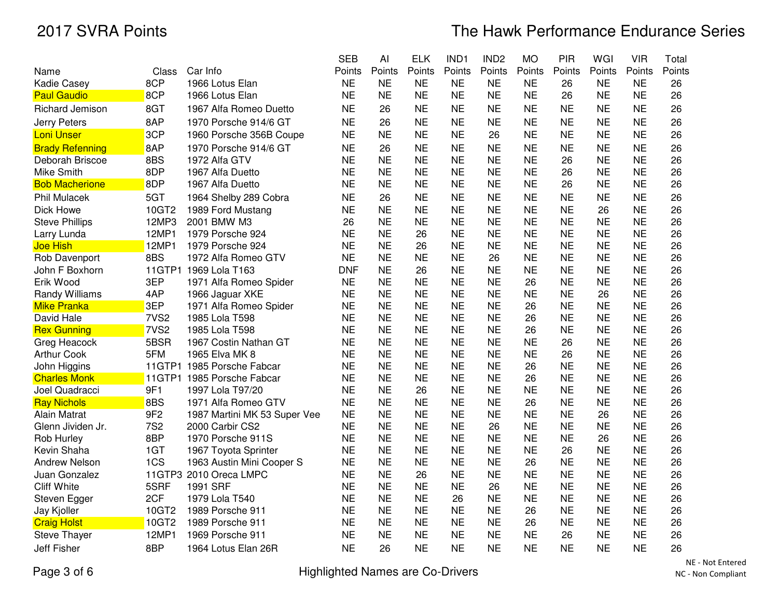|                                    |                          |                                         | <b>SEB</b>             | Al                     | <b>ELK</b>             | IND1                   | IND <sub>2</sub>       | <b>MO</b>       | PIR                    | WGI                    | <b>VIR</b>             | Total    |
|------------------------------------|--------------------------|-----------------------------------------|------------------------|------------------------|------------------------|------------------------|------------------------|-----------------|------------------------|------------------------|------------------------|----------|
| Name                               | Class                    | Car Info                                | Points                 | Points                 | Points                 | Points                 | Points                 | Points          | Points                 | Points                 | Points                 | Points   |
| <b>Kadie Casey</b>                 | 8CP                      | 1966 Lotus Elan                         | <b>NE</b>              | <b>NE</b>              | <b>NE</b>              | <b>NE</b>              | <b>NE</b>              | <b>NE</b>       | 26                     | <b>NE</b>              | <b>NE</b>              | 26       |
| <b>Paul Gaudio</b>                 | 8CP                      | 1966 Lotus Elan                         | <b>NE</b>              | <b>NE</b>              | <b>NE</b>              | <b>NE</b>              | <b>NE</b>              | <b>NE</b>       | 26                     | <b>NE</b>              | <b>NE</b>              | 26       |
| <b>Richard Jemison</b>             | 8GT                      | 1967 Alfa Romeo Duetto                  | <b>NE</b>              | 26                     | <b>NE</b>              | <b>NE</b>              | <b>NE</b>              | <b>NE</b>       | <b>NE</b>              | <b>NE</b>              | <b>NE</b>              | 26       |
| Jerry Peters                       | 8AP                      | 1970 Porsche 914/6 GT                   | <b>NE</b>              | 26                     | <b>NE</b>              | <b>NE</b>              | <b>NE</b>              | <b>NE</b>       | <b>NE</b>              | <b>NE</b>              | <b>NE</b>              | 26       |
| <b>Loni Unser</b>                  | 3CP                      | 1960 Porsche 356B Coupe                 | <b>NE</b>              | <b>NE</b>              | <b>NE</b>              | <b>NE</b>              | 26                     | <b>NE</b>       | <b>NE</b>              | <b>NE</b>              | <b>NE</b>              | 26       |
| <b>Brady Refenning</b>             | 8AP                      | 1970 Porsche 914/6 GT                   | <b>NE</b>              | 26                     | <b>NE</b>              | <b>NE</b>              | <b>NE</b>              | <b>NE</b>       | <b>NE</b>              | <b>NE</b>              | <b>NE</b>              | 26       |
| Deborah Briscoe                    | 8BS                      | 1972 Alfa GTV                           | <b>NE</b>              | <b>NE</b>              | <b>NE</b>              | <b>NE</b>              | <b>NE</b>              | <b>NE</b>       | 26                     | <b>NE</b>              | <b>NE</b>              | 26       |
| <b>Mike Smith</b>                  | 8DP                      | 1967 Alfa Duetto                        | <b>NE</b>              | <b>NE</b>              | <b>NE</b>              | <b>NE</b>              | <b>NE</b>              | <b>NE</b>       | 26                     | <b>NE</b>              | <b>NE</b>              | 26       |
| <b>Bob Macherione</b>              | 8DP                      | 1967 Alfa Duetto                        | <b>NE</b>              | <b>NE</b>              | <b>NE</b>              | <b>NE</b>              | <b>NE</b>              | <b>NE</b>       | 26                     | <b>NE</b>              | <b>NE</b>              | 26       |
| Phil Mulacek                       | 5GT                      | 1964 Shelby 289 Cobra                   | <b>NE</b>              | 26                     | <b>NE</b>              | <b>NE</b>              | <b>NE</b>              | <b>NE</b>       | <b>NE</b>              | <b>NE</b>              | <b>NE</b>              | 26       |
| Dick Howe                          | 10GT2                    | 1989 Ford Mustang                       | <b>NE</b>              | <b>NE</b>              | <b>NE</b>              | <b>NE</b>              | <b>NE</b>              | <b>NE</b>       | <b>NE</b>              | 26                     | <b>NE</b>              | 26       |
| <b>Steve Phillips</b>              | 12MP3                    | 2001 BMW M3                             | 26                     | <b>NE</b>              | <b>NE</b>              | <b>NE</b>              | <b>NE</b>              | <b>NE</b>       | <b>NE</b>              | <b>NE</b>              | <b>NE</b>              | 26       |
| Larry Lunda                        | 12MP1                    | 1979 Porsche 924                        | <b>NE</b>              | <b>NE</b>              | 26                     | <b>NE</b>              | <b>NE</b>              | <b>NE</b>       | <b>NE</b>              | <b>NE</b>              | <b>NE</b>              | 26       |
| Joe Hish                           | 12MP1                    | 1979 Porsche 924                        | <b>NE</b>              | <b>NE</b>              | 26                     | <b>NE</b>              | <b>NE</b>              | <b>NE</b>       | <b>NE</b>              | <b>NE</b>              | <b>NE</b>              | 26       |
| Rob Davenport                      | 8BS                      | 1972 Alfa Romeo GTV                     | <b>NE</b>              | <b>NE</b>              | <b>NE</b>              | <b>NE</b>              | 26                     | <b>NE</b>       | <b>NE</b>              | <b>NE</b>              | <b>NE</b>              | 26       |
| John F Boxhorn                     |                          | 11GTP1 1969 Lola T163                   | <b>DNF</b>             | <b>NE</b>              | 26                     | <b>NE</b>              | <b>NE</b>              | <b>NE</b>       | <b>NE</b>              | <b>NE</b>              | <b>NE</b>              | 26       |
| Erik Wood                          | 3EP                      | 1971 Alfa Romeo Spider                  | <b>NE</b>              | <b>NE</b>              | <b>NE</b>              | <b>NE</b>              | <b>NE</b>              | 26              | <b>NE</b>              | <b>NE</b>              | <b>NE</b>              | 26       |
| Randy Williams                     | 4AP                      | 1966 Jaguar XKE                         | <b>NE</b>              | <b>NE</b>              | <b>NE</b>              | <b>NE</b>              | <b>NE</b>              | <b>NE</b>       | <b>NE</b>              | 26                     | <b>NE</b>              | 26       |
| <b>Mike Pranka</b>                 | 3EP                      | 1971 Alfa Romeo Spider                  | <b>NE</b>              | <b>NE</b>              | <b>NE</b>              | <b>NE</b>              | <b>NE</b>              | 26              | <b>NE</b>              | <b>NE</b>              | <b>NE</b>              | 26       |
| David Hale                         | 7VS <sub>2</sub>         | 1985 Lola T598                          | <b>NE</b><br><b>NE</b> | <b>NE</b><br><b>NE</b> | <b>NE</b><br><b>NE</b> | <b>NE</b><br><b>NE</b> | <b>NE</b><br><b>NE</b> | 26              | <b>NE</b><br><b>NE</b> | <b>NE</b><br><b>NE</b> | <b>NE</b><br><b>NE</b> | 26       |
| <b>Rex Gunning</b>                 | 7VS <sub>2</sub><br>5BSR | 1985 Lola T598                          | <b>NE</b>              | <b>NE</b>              | <b>NE</b>              | <b>NE</b>              | <b>NE</b>              | 26<br><b>NE</b> |                        | <b>NE</b>              | <b>NE</b>              | 26<br>26 |
| Greg Heacock                       | 5FM                      | 1967 Costin Nathan GT<br>1965 Elva MK 8 | <b>NE</b>              | <b>NE</b>              | <b>NE</b>              | <b>NE</b>              | <b>NE</b>              | <b>NE</b>       | 26<br>26               | <b>NE</b>              | <b>NE</b>              | 26       |
| <b>Arthur Cook</b><br>John Higgins |                          | 11GTP1 1985 Porsche Fabcar              | <b>NE</b>              | <b>NE</b>              | <b>NE</b>              | <b>NE</b>              | <b>NE</b>              | 26              | <b>NE</b>              | <b>NE</b>              | <b>NE</b>              | 26       |
| <b>Charles Monk</b>                |                          | 11GTP1 1985 Porsche Fabcar              | <b>NE</b>              | <b>NE</b>              | <b>NE</b>              | <b>NE</b>              | <b>NE</b>              | 26              | <b>NE</b>              | <b>NE</b>              | <b>NE</b>              | 26       |
| Joel Quadracci                     | 9F1                      | 1997 Lola T97/20                        | <b>NE</b>              | <b>NE</b>              | 26                     | <b>NE</b>              | <b>NE</b>              | <b>NE</b>       | <b>NE</b>              | <b>NE</b>              | <b>NE</b>              | 26       |
| <b>Ray Nichols</b>                 | 8BS                      | 1971 Alfa Romeo GTV                     | <b>NE</b>              | <b>NE</b>              | <b>NE</b>              | <b>NE</b>              | <b>NE</b>              | 26              | <b>NE</b>              | <b>NE</b>              | <b>NE</b>              | 26       |
| Alain Matrat                       | 9F <sub>2</sub>          | 1987 Martini MK 53 Super Vee            | <b>NE</b>              | <b>NE</b>              | <b>NE</b>              | <b>NE</b>              | <b>NE</b>              | <b>NE</b>       | <b>NE</b>              | 26                     | <b>NE</b>              | 26       |
| Glenn Jividen Jr.                  | <b>7S2</b>               | 2000 Carbir CS2                         | <b>NE</b>              | <b>NE</b>              | <b>NE</b>              | <b>NE</b>              | 26                     | <b>NE</b>       | <b>NE</b>              | <b>NE</b>              | <b>NE</b>              | 26       |
| Rob Hurley                         | 8BP                      | 1970 Porsche 911S                       | <b>NE</b>              | <b>NE</b>              | <b>NE</b>              | <b>NE</b>              | <b>NE</b>              | <b>NE</b>       | <b>NE</b>              | 26                     | <b>NE</b>              | 26       |
| Kevin Shaha                        | 1GT                      | 1967 Toyota Sprinter                    | <b>NE</b>              | <b>NE</b>              | <b>NE</b>              | <b>NE</b>              | <b>NE</b>              | <b>NE</b>       | 26                     | <b>NE</b>              | <b>NE</b>              | 26       |
| <b>Andrew Nelson</b>               | 1CS                      | 1963 Austin Mini Cooper S               | <b>NE</b>              | <b>NE</b>              | <b>NE</b>              | <b>NE</b>              | <b>NE</b>              | 26              | <b>NE</b>              | <b>NE</b>              | <b>NE</b>              | 26       |
| Juan Gonzalez                      |                          | 11GTP3 2010 Oreca LMPC                  | <b>NE</b>              | <b>NE</b>              | 26                     | <b>NE</b>              | <b>NE</b>              | <b>NE</b>       | <b>NE</b>              | <b>NE</b>              | <b>NE</b>              | 26       |
| <b>Cliff White</b>                 | 5SRF                     | 1991 SRF                                | <b>NE</b>              | <b>NE</b>              | <b>NE</b>              | <b>NE</b>              | 26                     | <b>NE</b>       | <b>NE</b>              | <b>NE</b>              | <b>NE</b>              | 26       |
| Steven Egger                       | 2CF                      | 1979 Lola T540                          | <b>NE</b>              | <b>NE</b>              | <b>NE</b>              | 26                     | <b>NE</b>              | <b>NE</b>       | <b>NE</b>              | <b>NE</b>              | <b>NE</b>              | 26       |
| Jay Kjoller                        | 10GT2                    | 1989 Porsche 911                        | <b>NE</b>              | <b>NE</b>              | <b>NE</b>              | <b>NE</b>              | <b>NE</b>              | 26              | <b>NE</b>              | <b>NE</b>              | <b>NE</b>              | 26       |
| <b>Craig Holst</b>                 | 10GT2                    | 1989 Porsche 911                        | <b>NE</b>              | <b>NE</b>              | <b>NE</b>              | <b>NE</b>              | <b>NE</b>              | 26              | <b>NE</b>              | <b>NE</b>              | <b>NE</b>              | 26       |
| <b>Steve Thayer</b>                | 12MP1                    | 1969 Porsche 911                        | <b>NE</b>              | <b>NE</b>              | <b>NE</b>              | <b>NE</b>              | <b>NE</b>              | <b>NE</b>       | 26                     | <b>NE</b>              | <b>NE</b>              | 26       |
| <b>Jeff Fisher</b>                 | 8BP                      | 1964 Lotus Elan 26R                     | <b>NE</b>              | 26                     | <b>NE</b>              | <b>NE</b>              | <b>NE</b>              | <b>NE</b>       | <b>NE</b>              | <b>NE</b>              | <b>NE</b>              | 26       |
|                                    |                          |                                         |                        |                        |                        |                        |                        |                 |                        |                        |                        |          |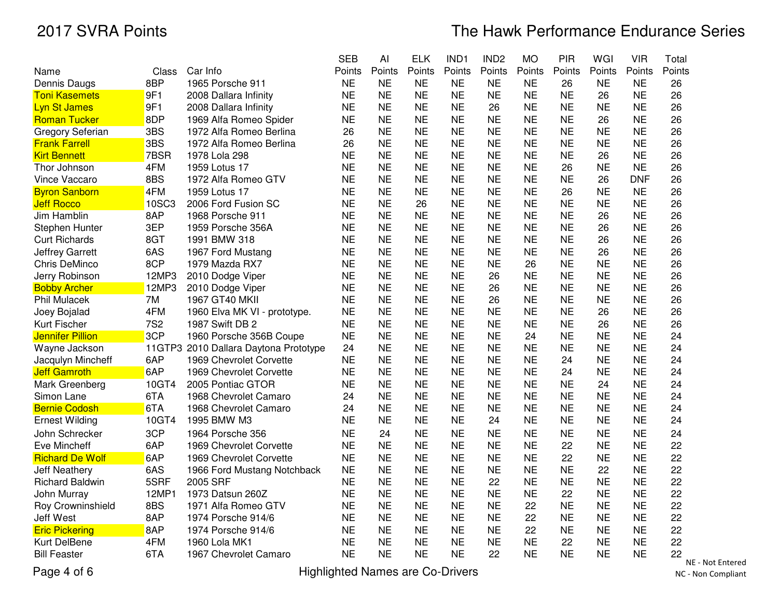# The Hawk Performance Endurance Series

|                         |            |                                       | <b>SEB</b> | AI        | <b>ELK</b> | IND1      | IND <sub>2</sub> | <b>MO</b> | PIR       | WGI       | <b>VIR</b> | Total           |
|-------------------------|------------|---------------------------------------|------------|-----------|------------|-----------|------------------|-----------|-----------|-----------|------------|-----------------|
| Name                    | Class      | Car Info                              | Points     | Points    | Points     | Points    | Points           | Points    | Points    | Points    | Points     | Points          |
| Dennis Daugs            | 8BP        | 1965 Porsche 911                      | <b>NE</b>  | <b>NE</b> | <b>NE</b>  | <b>NE</b> | NE               | NE.       | 26        | <b>NE</b> | <b>NE</b>  | 26              |
| <b>Toni Kasemets</b>    | 9F1        | 2008 Dallara Infinity                 | <b>NE</b>  | <b>NE</b> | <b>NE</b>  | <b>NE</b> | <b>NE</b>        | <b>NE</b> | <b>NE</b> | 26        | <b>NE</b>  | 26              |
| <b>Lyn St James</b>     | 9F1        | 2008 Dallara Infinity                 | <b>NE</b>  | <b>NE</b> | <b>NE</b>  | <b>NE</b> | 26               | <b>NE</b> | <b>NE</b> | <b>NE</b> | <b>NE</b>  | 26              |
| <b>Roman Tucker</b>     | 8DP        | 1969 Alfa Romeo Spider                | <b>NE</b>  | <b>NE</b> | <b>NE</b>  | <b>NE</b> | <b>NE</b>        | <b>NE</b> | <b>NE</b> | 26        | <b>NE</b>  | 26              |
| Gregory Seferian        | 3BS        | 1972 Alfa Romeo Berlina               | 26         | <b>NE</b> | <b>NE</b>  | <b>NE</b> | <b>NE</b>        | <b>NE</b> | <b>NE</b> | <b>NE</b> | <b>NE</b>  | 26              |
| <b>Frank Farrell</b>    | 3BS        | 1972 Alfa Romeo Berlina               | 26         | <b>NE</b> | <b>NE</b>  | <b>NE</b> | <b>NE</b>        | <b>NE</b> | <b>NE</b> | <b>NE</b> | <b>NE</b>  | 26              |
| <b>Kirt Bennett</b>     | 7BSR       | 1978 Lola 298                         | <b>NE</b>  | <b>NE</b> | <b>NE</b>  | <b>NE</b> | <b>NE</b>        | <b>NE</b> | <b>NE</b> | 26        | <b>NE</b>  | 26              |
| Thor Johnson            | 4FM        | 1959 Lotus 17                         | <b>NE</b>  | <b>NE</b> | <b>NE</b>  | <b>NE</b> | <b>NE</b>        | <b>NE</b> | 26        | <b>NE</b> | <b>NE</b>  | 26              |
| <b>Vince Vaccaro</b>    | 8BS        | 1972 Alfa Romeo GTV                   | <b>NE</b>  | <b>NE</b> | <b>NE</b>  | <b>NE</b> | <b>NE</b>        | <b>NE</b> | <b>NE</b> | 26        | <b>DNF</b> | 26              |
| <b>Byron Sanborn</b>    | 4FM        | 1959 Lotus 17                         | <b>NE</b>  | <b>NE</b> | <b>NE</b>  | <b>NE</b> | <b>NE</b>        | <b>NE</b> | 26        | <b>NE</b> | <b>NE</b>  | 26              |
| <b>Jeff Rocco</b>       | 10SC3      | 2006 Ford Fusion SC                   | <b>NE</b>  | <b>NE</b> | 26         | <b>NE</b> | <b>NE</b>        | <b>NE</b> | <b>NE</b> | <b>NE</b> | <b>NE</b>  | 26              |
| Jim Hamblin             | 8AP        | 1968 Porsche 911                      | <b>NE</b>  | <b>NE</b> | <b>NE</b>  | <b>NE</b> | <b>NE</b>        | <b>NE</b> | <b>NE</b> | 26        | <b>NE</b>  | 26              |
| Stephen Hunter          | 3EP        | 1959 Porsche 356A                     | <b>NE</b>  | <b>NE</b> | <b>NE</b>  | <b>NE</b> | <b>NE</b>        | <b>NE</b> | <b>NE</b> | 26        | <b>NE</b>  | 26              |
| <b>Curt Richards</b>    | 8GT        | 1991 BMW 318                          | <b>NE</b>  | <b>NE</b> | <b>NE</b>  | <b>NE</b> | <b>NE</b>        | <b>NE</b> | <b>NE</b> | 26        | <b>NE</b>  | 26              |
| <b>Jeffrey Garrett</b>  | 6AS        | 1967 Ford Mustang                     | <b>NE</b>  | <b>NE</b> | <b>NE</b>  | <b>NE</b> | <b>NE</b>        | <b>NE</b> | <b>NE</b> | 26        | <b>NE</b>  | 26              |
| Chris DeMinco           | 8CP        | 1979 Mazda RX7                        | <b>NE</b>  | <b>NE</b> | <b>NE</b>  | <b>NE</b> | <b>NE</b>        | 26        | <b>NE</b> | <b>NE</b> | <b>NE</b>  | 26              |
| Jerry Robinson          | 12MP3      | 2010 Dodge Viper                      | <b>NE</b>  | <b>NE</b> | <b>NE</b>  | <b>NE</b> | 26               | <b>NE</b> | <b>NE</b> | <b>NE</b> | <b>NE</b>  | 26              |
| <b>Bobby Archer</b>     | 12MP3      | 2010 Dodge Viper                      | <b>NE</b>  | <b>NE</b> | <b>NE</b>  | <b>NE</b> | 26               | <b>NE</b> | <b>NE</b> | <b>NE</b> | <b>NE</b>  | 26              |
| <b>Phil Mulacek</b>     | 7M         | 1967 GT40 MKII                        | <b>NE</b>  | <b>NE</b> | <b>NE</b>  | <b>NE</b> | 26               | <b>NE</b> | <b>NE</b> | <b>NE</b> | <b>NE</b>  | 26              |
| Joey Bojalad            | 4FM        | 1960 Elva MK VI - prototype.          | <b>NE</b>  | <b>NE</b> | <b>NE</b>  | <b>NE</b> | <b>NE</b>        | <b>NE</b> | <b>NE</b> | 26        | <b>NE</b>  | 26              |
| Kurt Fischer            | <b>7S2</b> | 1987 Swift DB 2                       | <b>NE</b>  | <b>NE</b> | <b>NE</b>  | <b>NE</b> | <b>NE</b>        | <b>NE</b> | <b>NE</b> | 26        | <b>NE</b>  | 26              |
| <b>Jennifer Pillion</b> | 3CP        | 1960 Porsche 356B Coupe               | <b>NE</b>  | <b>NE</b> | <b>NE</b>  | <b>NE</b> | <b>NE</b>        | 24        | <b>NE</b> | <b>NE</b> | <b>NE</b>  | 24              |
| Wayne Jackson           |            | 11GTP3 2010 Dallara Daytona Prototype | 24         | <b>NE</b> | <b>NE</b>  | <b>NE</b> | <b>NE</b>        | <b>NE</b> | <b>NE</b> | <b>NE</b> | <b>NE</b>  | 24              |
| Jacqulyn Mincheff       | 6AP        | 1969 Chevrolet Corvette               | <b>NE</b>  | <b>NE</b> | <b>NE</b>  | <b>NE</b> | <b>NE</b>        | <b>NE</b> | 24        | <b>NE</b> | <b>NE</b>  | 24              |
| <b>Jeff Gamroth</b>     | 6AP        | 1969 Chevrolet Corvette               | <b>NE</b>  | <b>NE</b> | <b>NE</b>  | <b>NE</b> | <b>NE</b>        | <b>NE</b> | 24        | <b>NE</b> | <b>NE</b>  | 24              |
| Mark Greenberg          | 10GT4      | 2005 Pontiac GTOR                     | <b>NE</b>  | <b>NE</b> | <b>NE</b>  | <b>NE</b> | <b>NE</b>        | <b>NE</b> | <b>NE</b> | 24        | <b>NE</b>  | 24              |
| Simon Lane              | 6TA        | 1968 Chevrolet Camaro                 | 24         | <b>NE</b> | <b>NE</b>  | <b>NE</b> | <b>NE</b>        | <b>NE</b> | <b>NE</b> | <b>NE</b> | <b>NE</b>  | 24              |
| <b>Bernie Codosh</b>    | 6TA        | 1968 Chevrolet Camaro                 | 24         | <b>NE</b> | <b>NE</b>  | <b>NE</b> | <b>NE</b>        | <b>NE</b> | <b>NE</b> | <b>NE</b> | <b>NE</b>  | 24              |
| <b>Ernest Wilding</b>   | 10GT4      | 1995 BMW M3                           | <b>NE</b>  | <b>NE</b> | <b>NE</b>  | <b>NE</b> | 24               | <b>NE</b> | <b>NE</b> | <b>NE</b> | <b>NE</b>  | 24              |
| John Schrecker          | 3CP        | 1964 Porsche 356                      | <b>NE</b>  | 24        | <b>NE</b>  | <b>NE</b> | <b>NE</b>        | <b>NE</b> | <b>NE</b> | <b>NE</b> | <b>NE</b>  | 24              |
| Eve Mincheff            | 6AP        | 1969 Chevrolet Corvette               | <b>NE</b>  | <b>NE</b> | <b>NE</b>  | <b>NE</b> | <b>NE</b>        | <b>NE</b> | 22        | <b>NE</b> | <b>NE</b>  | 22              |
| <b>Richard De Wolf</b>  | 6AP        | 1969 Chevrolet Corvette               | <b>NE</b>  | <b>NE</b> | <b>NE</b>  | <b>NE</b> | <b>NE</b>        | <b>NE</b> | 22        | <b>NE</b> | <b>NE</b>  | 22              |
| <b>Jeff Neathery</b>    | 6AS        | 1966 Ford Mustang Notchback           | <b>NE</b>  | <b>NE</b> | <b>NE</b>  | <b>NE</b> | <b>NE</b>        | <b>NE</b> | <b>NE</b> | 22        | <b>NE</b>  | 22              |
| <b>Richard Baldwin</b>  | 5SRF       | 2005 SRF                              | <b>NE</b>  | <b>NE</b> | <b>NE</b>  | <b>NE</b> | 22               | <b>NE</b> | <b>NE</b> | <b>NE</b> | <b>NE</b>  | 22              |
| <b>John Murray</b>      | 12MP1      | 1973 Datsun 260Z                      | <b>NE</b>  | <b>NE</b> | <b>NE</b>  | <b>NE</b> | <b>NE</b>        | <b>NE</b> | 22        | <b>NE</b> | <b>NE</b>  | 22              |
| Roy Crowninshield       | 8BS        | 1971 Alfa Romeo GTV                   | <b>NE</b>  | <b>NE</b> | <b>NE</b>  | <b>NE</b> | <b>NE</b>        | 22        | <b>NE</b> | <b>NE</b> | <b>NE</b>  | 22              |
| <b>Jeff West</b>        | 8AP        | 1974 Porsche 914/6                    | <b>NE</b>  | <b>NE</b> | <b>NE</b>  | <b>NE</b> | <b>NE</b>        | 22        | <b>NE</b> | <b>NE</b> | <b>NE</b>  | 22              |
| <b>Eric Pickering</b>   | 8AP        | 1974 Porsche 914/6                    | <b>NE</b>  | <b>NE</b> | <b>NE</b>  | <b>NE</b> | <b>NE</b>        | 22        | <b>NE</b> | <b>NE</b> | <b>NE</b>  | 22              |
| Kurt DelBene            | 4FM        | 1960 Lola MK1                         | <b>NE</b>  | <b>NE</b> | <b>NE</b>  | <b>NE</b> | <b>NE</b>        | <b>NE</b> | 22        | <b>NE</b> | <b>NE</b>  | 22              |
| <b>Bill Feaster</b>     | 6TA        | 1967 Chevrolet Camaro                 | <b>NE</b>  | <b>NE</b> | <b>NE</b>  | <b>NE</b> | 22               | <b>NE</b> | <b>NE</b> | <b>NE</b> | <b>NE</b>  | 22<br><b>NI</b> |

Page 4 of 6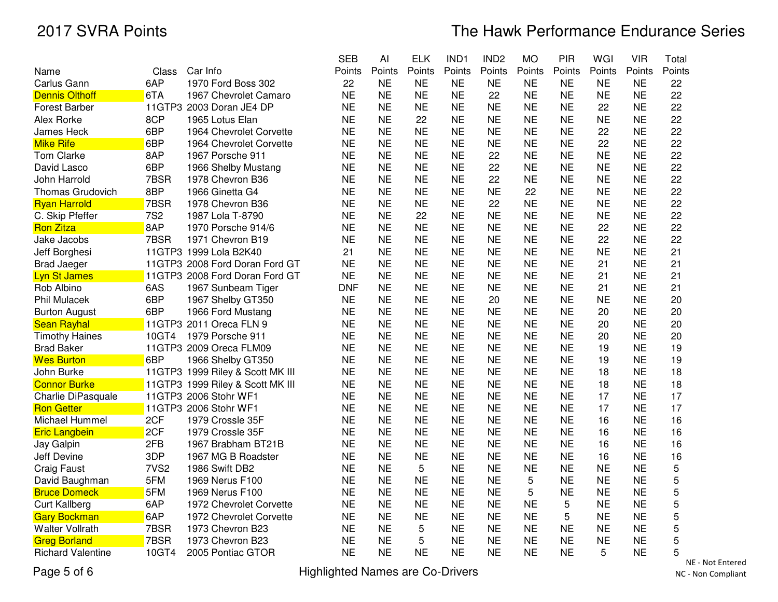|                          |                  |                                  | <b>SEB</b> | Al        | <b>ELK</b> | IND1      | IND <sub>2</sub> | <b>MO</b> | PIR       | WGI       | <b>VIR</b> | Total       |
|--------------------------|------------------|----------------------------------|------------|-----------|------------|-----------|------------------|-----------|-----------|-----------|------------|-------------|
| Name                     | Class            | Car Info                         | Points     | Points    | Points     | Points    | Points           | Points    | Points    | Points    | Points     | Points      |
| Carlus Gann              | 6AP              | 1970 Ford Boss 302               | 22         | <b>NE</b> | <b>NE</b>  | <b>NE</b> | <b>NE</b>        | <b>NE</b> | <b>NE</b> | <b>NE</b> | <b>NE</b>  | 22          |
| <b>Dennis Olthoff</b>    | 6TA              | 1967 Chevrolet Camaro            | <b>NE</b>  | <b>NE</b> | <b>NE</b>  | <b>NE</b> | 22               | <b>NE</b> | <b>NE</b> | <b>NE</b> | <b>NE</b>  | 22          |
| <b>Forest Barber</b>     |                  | 11GTP3 2003 Doran JE4 DP         | <b>NE</b>  | <b>NE</b> | <b>NE</b>  | <b>NE</b> | <b>NE</b>        | <b>NE</b> | <b>NE</b> | 22        | <b>NE</b>  | 22          |
| <b>Alex Rorke</b>        | 8CP              | 1965 Lotus Elan                  | <b>NE</b>  | <b>NE</b> | 22         | <b>NE</b> | <b>NE</b>        | <b>NE</b> | <b>NE</b> | <b>NE</b> | <b>NE</b>  | 22          |
| James Heck               | 6BP              | 1964 Chevrolet Corvette          | <b>NE</b>  | <b>NE</b> | <b>NE</b>  | <b>NE</b> | <b>NE</b>        | NE        | <b>NE</b> | 22        | <b>NE</b>  | 22          |
| <b>Mike Rife</b>         | 6BP              | 1964 Chevrolet Corvette          | <b>NE</b>  | <b>NE</b> | <b>NE</b>  | <b>NE</b> | <b>NE</b>        | <b>NE</b> | <b>NE</b> | 22        | <b>NE</b>  | 22          |
| Tom Clarke               | 8AP              | 1967 Porsche 911                 | <b>NE</b>  | <b>NE</b> | <b>NE</b>  | <b>NE</b> | 22               | <b>NE</b> | <b>NE</b> | <b>NE</b> | <b>NE</b>  | 22          |
| David Lasco              | 6BP              | 1966 Shelby Mustang              | <b>NE</b>  | <b>NE</b> | <b>NE</b>  | <b>NE</b> | 22               | <b>NE</b> | <b>NE</b> | <b>NE</b> | <b>NE</b>  | 22          |
| John Harrold             | 7BSR             | 1978 Chevron B36                 | <b>NE</b>  | <b>NE</b> | <b>NE</b>  | <b>NE</b> | 22               | <b>NE</b> | <b>NE</b> | <b>NE</b> | <b>NE</b>  | 22          |
| <b>Thomas Grudovich</b>  | 8BP              | 1966 Ginetta G4                  | <b>NE</b>  | <b>NE</b> | <b>NE</b>  | <b>NE</b> | <b>NE</b>        | 22        | <b>NE</b> | <b>NE</b> | <b>NE</b>  | 22          |
| <b>Ryan Harrold</b>      | 7BSR             | 1978 Chevron B36                 | <b>NE</b>  | <b>NE</b> | <b>NE</b>  | <b>NE</b> | 22               | <b>NE</b> | <b>NE</b> | <b>NE</b> | <b>NE</b>  | 22          |
| C. Skip Pfeffer          | <b>7S2</b>       | 1987 Lola T-8790                 | <b>NE</b>  | <b>NE</b> | 22         | <b>NE</b> | <b>NE</b>        | <b>NE</b> | <b>NE</b> | <b>NE</b> | <b>NE</b>  | 22          |
| <b>Ron Zitza</b>         | 8AP              | 1970 Porsche 914/6               | <b>NE</b>  | <b>NE</b> | <b>NE</b>  | <b>NE</b> | <b>NE</b>        | <b>NE</b> | <b>NE</b> | 22        | <b>NE</b>  | 22          |
| Jake Jacobs              | 7BSR             | 1971 Chevron B19                 | <b>NE</b>  | <b>NE</b> | <b>NE</b>  | <b>NE</b> | <b>NE</b>        | <b>NE</b> | <b>NE</b> | 22        | <b>NE</b>  | 22          |
| Jeff Borghesi            |                  | 11GTP3 1999 Lola B2K40           | 21         | <b>NE</b> | <b>NE</b>  | <b>NE</b> | <b>NE</b>        | <b>NE</b> | <b>NE</b> | <b>NE</b> | <b>NE</b>  | 21          |
| <b>Brad Jaeger</b>       |                  | 11GTP3 2008 Ford Doran Ford GT   | <b>NE</b>  | <b>NE</b> | <b>NE</b>  | <b>NE</b> | <b>NE</b>        | <b>NE</b> | <b>NE</b> | 21        | <b>NE</b>  | 21          |
| <b>Lyn St James</b>      |                  | 11GTP3 2008 Ford Doran Ford GT   | <b>NE</b>  | <b>NE</b> | <b>NE</b>  | <b>NE</b> | <b>NE</b>        | <b>NE</b> | <b>NE</b> | 21        | <b>NE</b>  | 21          |
| Rob Albino               | 6AS              | 1967 Sunbeam Tiger               | <b>DNF</b> | <b>NE</b> | <b>NE</b>  | <b>NE</b> | <b>NE</b>        | NE        | <b>NE</b> | 21        | <b>NE</b>  | 21          |
| <b>Phil Mulacek</b>      | 6BP              | 1967 Shelby GT350                | <b>NE</b>  | <b>NE</b> | <b>NE</b>  | <b>NE</b> | 20               | <b>NE</b> | <b>NE</b> | <b>NE</b> | <b>NE</b>  | 20          |
| <b>Burton August</b>     | 6BP              | 1966 Ford Mustang                | <b>NE</b>  | <b>NE</b> | <b>NE</b>  | <b>NE</b> | <b>NE</b>        | <b>NE</b> | <b>NE</b> | 20        | <b>NE</b>  | 20          |
| <b>Sean Rayhal</b>       |                  | 11GTP3 2011 Oreca FLN 9          | <b>NE</b>  | <b>NE</b> | <b>NE</b>  | <b>NE</b> | <b>NE</b>        | <b>NE</b> | <b>NE</b> | 20        | <b>NE</b>  | 20          |
| <b>Timothy Haines</b>    | 10GT4            | 1979 Porsche 911                 | NE         | <b>NE</b> | <b>NE</b>  | <b>NE</b> | <b>NE</b>        | <b>NE</b> | <b>NE</b> | 20        | <b>NE</b>  | 20          |
| <b>Brad Baker</b>        |                  | 11GTP3 2009 Oreca FLM09          | <b>NE</b>  | <b>NE</b> | <b>NE</b>  | <b>NE</b> | <b>NE</b>        | <b>NE</b> | <b>NE</b> | 19        | <b>NE</b>  | 19          |
| <b>Wes Burton</b>        | 6BP              | 1966 Shelby GT350                | <b>NE</b>  | <b>NE</b> | <b>NE</b>  | <b>NE</b> | <b>NE</b>        | <b>NE</b> | <b>NE</b> | 19        | <b>NE</b>  | 19          |
| John Burke               |                  | 11GTP3 1999 Riley & Scott MK III | <b>NE</b>  | <b>NE</b> | <b>NE</b>  | <b>NE</b> | <b>NE</b>        | <b>NE</b> | <b>NE</b> | 18        | <b>NE</b>  | 18          |
| <b>Connor Burke</b>      |                  | 11GTP3 1999 Riley & Scott MK III | <b>NE</b>  | <b>NE</b> | <b>NE</b>  | <b>NE</b> | <b>NE</b>        | <b>NE</b> | <b>NE</b> | 18        | <b>NE</b>  | 18          |
| Charlie DiPasquale       |                  | 11GTP3 2006 Stohr WF1            | <b>NE</b>  | <b>NE</b> | <b>NE</b>  | <b>NE</b> | <b>NE</b>        | <b>NE</b> | <b>NE</b> | 17        | <b>NE</b>  | 17          |
| <b>Ron Getter</b>        |                  | 11GTP3 2006 Stohr WF1            | <b>NE</b>  | <b>NE</b> | <b>NE</b>  | <b>NE</b> | <b>NE</b>        | <b>NE</b> | <b>NE</b> | 17        | <b>NE</b>  | 17          |
| Michael Hummel           | 2CF              | 1979 Crossle 35F                 | <b>NE</b>  | <b>NE</b> | <b>NE</b>  | <b>NE</b> | <b>NE</b>        | <b>NE</b> | <b>NE</b> | 16        | <b>NE</b>  | 16          |
| <b>Eric Langbein</b>     | 2CF              | 1979 Crossle 35F                 | <b>NE</b>  | <b>NE</b> | <b>NE</b>  | <b>NE</b> | <b>NE</b>        | <b>NE</b> | <b>NE</b> | 16        | <b>NE</b>  | 16          |
| Jay Galpin               | 2FB              | 1967 Brabham BT21B               | <b>NE</b>  | <b>NE</b> | <b>NE</b>  | <b>NE</b> | <b>NE</b>        | <b>NE</b> | <b>NE</b> | 16        | <b>NE</b>  | 16          |
| Jeff Devine              | 3DP              | 1967 MG B Roadster               | <b>NE</b>  | <b>NE</b> | <b>NE</b>  | <b>NE</b> | <b>NE</b>        | <b>NE</b> | <b>NE</b> | 16        | <b>NE</b>  | 16          |
| <b>Craig Faust</b>       | 7VS <sub>2</sub> | 1986 Swift DB2                   | <b>NE</b>  | <b>NE</b> | 5          | <b>NE</b> | <b>NE</b>        | <b>NE</b> | <b>NE</b> | <b>NE</b> | <b>NE</b>  | $\mathbf 5$ |
| David Baughman           | 5FM              | 1969 Nerus F100                  | <b>NE</b>  | <b>NE</b> | <b>NE</b>  | <b>NE</b> | <b>NE</b>        | 5         | <b>NE</b> | <b>NE</b> | <b>NE</b>  | 5           |
| <b>Bruce Domeck</b>      | 5FM              | 1969 Nerus F100                  | <b>NE</b>  | <b>NE</b> | <b>NE</b>  | <b>NE</b> | <b>NE</b>        | 5         | <b>NE</b> | <b>NE</b> | <b>NE</b>  | 5           |
| <b>Curt Kallberg</b>     | 6AP              | 1972 Chevrolet Corvette          | <b>NE</b>  | <b>NE</b> | <b>NE</b>  | <b>NE</b> | <b>NE</b>        | <b>NE</b> | 5         | <b>NE</b> | <b>NE</b>  | 5           |
| <b>Gary Bockman</b>      | 6AP              | 1972 Chevrolet Corvette          | <b>NE</b>  | <b>NE</b> | <b>NE</b>  | <b>NE</b> | <b>NE</b>        | <b>NE</b> | 5         | <b>NE</b> | <b>NE</b>  | 5           |
| <b>Walter Vollrath</b>   | 7BSR             | 1973 Chevron B23                 | <b>NE</b>  | <b>NE</b> | 5          | <b>NE</b> | <b>NE</b>        | <b>NE</b> | <b>NE</b> | <b>NE</b> | <b>NE</b>  | 5           |
| <b>Greg Borland</b>      | 7BSR             | 1973 Chevron B23                 | <b>NE</b>  | <b>NE</b> | 5          | <b>NE</b> | <b>NE</b>        | <b>NE</b> | <b>NE</b> | <b>NE</b> | <b>NE</b>  | 5           |
| <b>Richard Valentine</b> | 10GT4            | 2005 Pontiac GTOR                | <b>NE</b>  | <b>NE</b> | <b>NE</b>  | <b>NE</b> | <b>NE</b>        | <b>NE</b> | <b>NE</b> | 5         | <b>NE</b>  | 5           |
|                          |                  |                                  |            |           |            |           |                  |           |           |           |            |             |